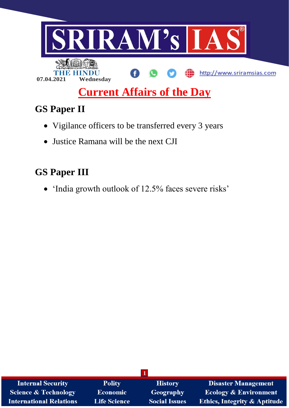

# **Current Affairs of the Day**

## **GS Paper II**

- Vigilance officers to be transferred every 3 years
- Justice Ramana will be the next CJI

## **GS Paper III**

'India growth outlook of 12.5% faces severe risks'

| <b>Internal Security</b>        | <b>Polity</b>       | <b>History</b>       | <b>Disaster Management</b>              |
|---------------------------------|---------------------|----------------------|-----------------------------------------|
| <b>Science &amp; Technology</b> | <b>Economic</b>     | Geography            | <b>Ecology &amp; Environment</b>        |
| <b>International Relations</b>  | <b>Life Science</b> | <b>Social Issues</b> | <b>Ethics, Integrity &amp; Aptitude</b> |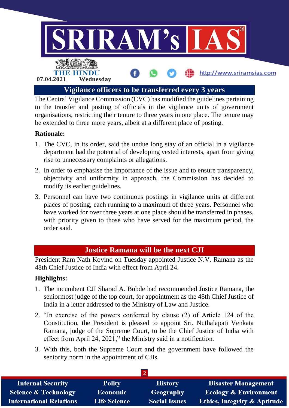

The Central Vigilance Commission (CVC) has modified the guidelines pertaining to the transfer and posting of officials in the vigilance units of government organisations, restricting their tenure to three years in one place. The tenure may be extended to three more years, albeit at a different place of posting.

## **Rationale:**

- 1. The CVC, in its order, said the undue long stay of an official in a vigilance department had the potential of developing vested interests, apart from giving rise to unnecessary complaints or allegations.
- 2. In order to emphasise the importance of the issue and to ensure transparency, objectivity and uniformity in approach, the Commission has decided to modify its earlier guidelines.
- 3. Personnel can have two continuous postings in vigilance units at different places of posting, each running to a maximum of three years. Personnel who have worked for over three years at one place should be transferred in phases, with priority given to those who have served for the maximum period, the order said.

## **Justice Ramana will be the next CJI**

President Ram Nath Kovind on Tuesday appointed Justice N.V. Ramana as the 48th Chief Justice of India with effect from April 24.

## **Highlights:**

- 1. The incumbent CJI Sharad A. Bobde had recommended Justice Ramana, the seniormost judge of the top court, for appointment as the 48th Chief Justice of India in a letter addressed to the Ministry of Law and Justice.
- 2. "In exercise of the powers conferred by clause (2) of Article 124 of the Constitution, the President is pleased to appoint Sri. Nuthalapati Venkata Ramana, judge of the Supreme Court, to be the Chief Justice of India with effect from April 24, 2021," the Ministry said in a notification.
- 3. With this, both the Supreme Court and the government have followed the seniority norm in the appointment of CJIs.

| <b>Internal Security</b>        | <b>Polity</b>       | <b>History</b>       | <b>Disaster Management</b>              |  |  |  |
|---------------------------------|---------------------|----------------------|-----------------------------------------|--|--|--|
| <b>Science &amp; Technology</b> | <b>Economic</b>     | Geography            | <b>Ecology &amp; Environment</b>        |  |  |  |
| <b>International Relations</b>  | <b>Life Science</b> | <b>Social Issues</b> | <b>Ethics, Integrity &amp; Aptitude</b> |  |  |  |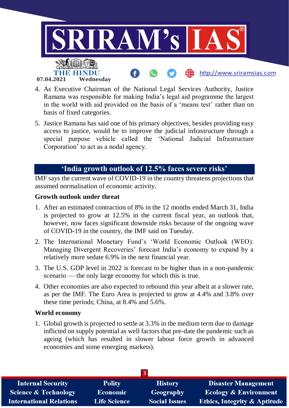

- 4. As Executive Chairman of the National Legal Services Authority, Justice Ramana was responsible for making India's legal aid programme the largest in the world with aid provided on the basis of a 'means test' rather than on basis of fixed categories.
- 5. Justice Ramana has said one of his primary objectives, besides providing easy access to justice, would be to improve the judicial infrastructure through a special purpose vehicle called the 'National Judicial Infrastructure Corporation' to act as a nodal agency.

## **'India growth outlook of 12.5% faces severe risks'**

IMF says the current wave of COVID-19 in the country threatens projections that assumed normalisation of economic activity.

### **Growth outlook under threat**

- 1. After an estimated contraction of 8% in the 12 months ended March 31, India is projected to grow at 12.5% in the current fiscal year, an outlook that, however, now faces significant downside risks because of the ongoing wave of COVID-19 in the country, the IMF said on Tuesday.
- 2. The International Monetary Fund's 'World Economic Outlook (WEO): Managing Divergent Recoveries' forecast India's economy to expand by a relatively more sedate 6.9% in the next financial year.
- 3. The U.S. GDP level in 2022 is forecast to be higher than in a non-pandemic scenario — the only large economy for which this is true.
- 4. Other economies are also expected to rebound this year albeit at a slower rate, as per the IMF. The Euro Area is projected to grow at 4.4% and 3.8% over these time periods; China, at 8.4% and 5.6%.

#### **World economy**

1. Global growth is projected to settle at 3.3% in the medium term due to damage inflicted on supply potential as well factors that pre-date the pandemic such as ageing (which has resulted in slower labour force growth in advanced economies and some emerging markets).

| <b>Internal Security</b>        | <b>Polity</b>       | <b>History</b>       | <b>Disaster Management</b>              |  |  |  |
|---------------------------------|---------------------|----------------------|-----------------------------------------|--|--|--|
| <b>Science &amp; Technology</b> | <b>Economic</b>     | Geography            | <b>Ecology &amp; Environment</b>        |  |  |  |
| <b>International Relations</b>  | <b>Life Science</b> | <b>Social Issues</b> | <b>Ethics, Integrity &amp; Aptitude</b> |  |  |  |